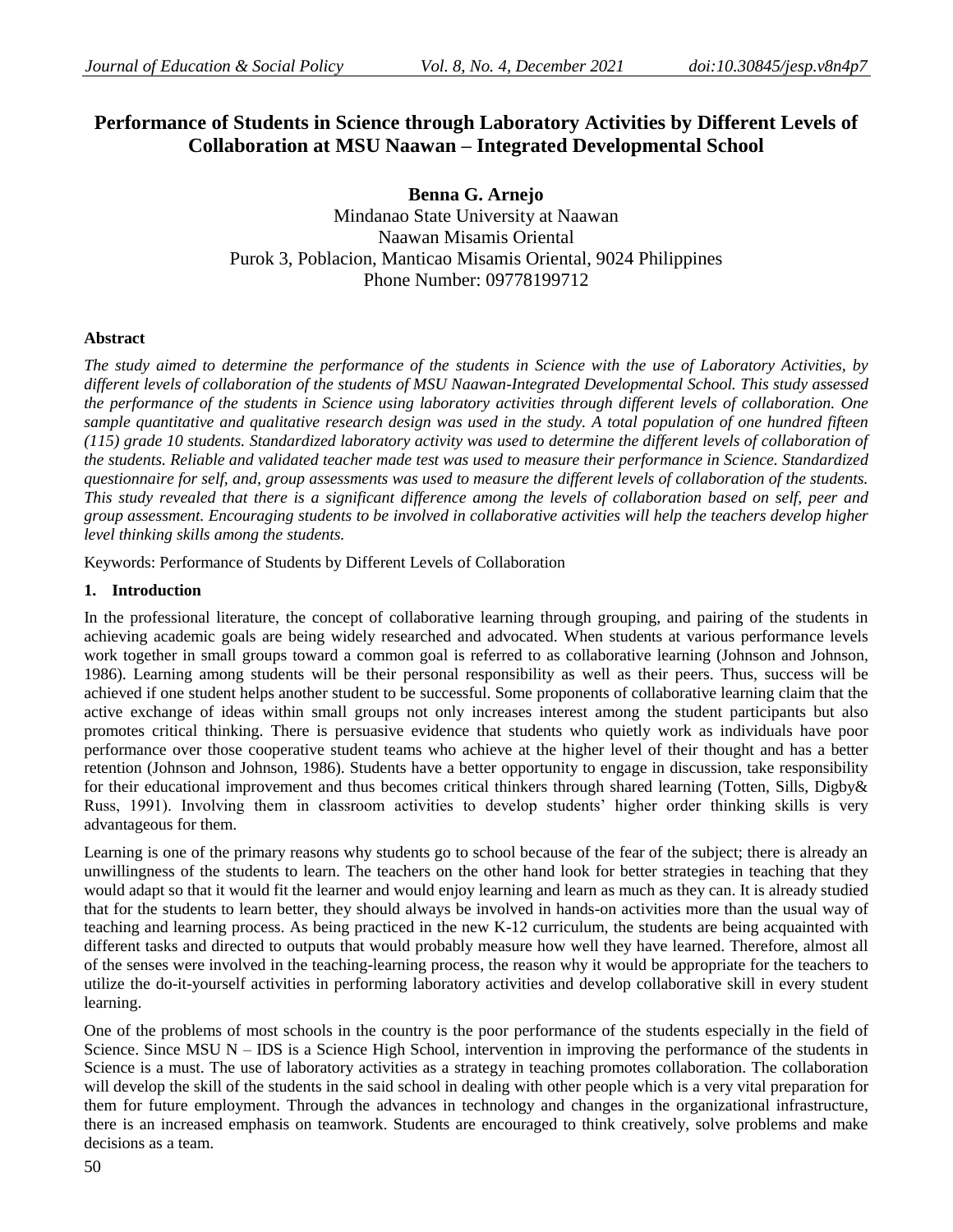# **Performance of Students in Science through Laboratory Activities by Different Levels of Collaboration at MSU Naawan – Integrated Developmental School**

**Benna G. Arnejo** Mindanao State University at Naawan Naawan Misamis Oriental Purok 3, Poblacion, Manticao Misamis Oriental, 9024 Philippines Phone Number: 09778199712

## **Abstract**

*The study aimed to determine the performance of the students in Science with the use of Laboratory Activities, by different levels of collaboration of the students of MSU Naawan-Integrated Developmental School. This study assessed the performance of the students in Science using laboratory activities through different levels of collaboration. One sample quantitative and qualitative research design was used in the study. A total population of one hundred fifteen (115) grade 10 students. Standardized laboratory activity was used to determine the different levels of collaboration of the students. Reliable and validated teacher made test was used to measure their performance in Science. Standardized questionnaire for self, and, group assessments was used to measure the different levels of collaboration of the students. This study revealed that there is a significant difference among the levels of collaboration based on self, peer and group assessment. Encouraging students to be involved in collaborative activities will help the teachers develop higher level thinking skills among the students.*

Keywords: Performance of Students by Different Levels of Collaboration

## **1. Introduction**

In the professional literature, the concept of collaborative learning through grouping, and pairing of the students in achieving academic goals are being widely researched and advocated. When students at various performance levels work together in small groups toward a common goal is referred to as collaborative learning (Johnson and Johnson, 1986). Learning among students will be their personal responsibility as well as their peers. Thus, success will be achieved if one student helps another student to be successful. Some proponents of collaborative learning claim that the active exchange of ideas within small groups not only increases interest among the student participants but also promotes critical thinking. There is persuasive evidence that students who quietly work as individuals have poor performance over those cooperative student teams who achieve at the higher level of their thought and has a better retention (Johnson and Johnson, 1986). Students have a better opportunity to engage in discussion, take responsibility for their educational improvement and thus becomes critical thinkers through shared learning (Totten, Sills, Digby& Russ, 1991). Involving them in classroom activities to develop students' higher order thinking skills is very advantageous for them.

Learning is one of the primary reasons why students go to school because of the fear of the subject; there is already an unwillingness of the students to learn. The teachers on the other hand look for better strategies in teaching that they would adapt so that it would fit the learner and would enjoy learning and learn as much as they can. It is already studied that for the students to learn better, they should always be involved in hands-on activities more than the usual way of teaching and learning process. As being practiced in the new K-12 curriculum, the students are being acquainted with different tasks and directed to outputs that would probably measure how well they have learned. Therefore, almost all of the senses were involved in the teaching-learning process, the reason why it would be appropriate for the teachers to utilize the do-it-yourself activities in performing laboratory activities and develop collaborative skill in every student learning.

One of the problems of most schools in the country is the poor performance of the students especially in the field of Science. Since  $MSU N - IDs$  is a Science High School, intervention in improving the performance of the students in Science is a must. The use of laboratory activities as a strategy in teaching promotes collaboration. The collaboration will develop the skill of the students in the said school in dealing with other people which is a very vital preparation for them for future employment. Through the advances in technology and changes in the organizational infrastructure, there is an increased emphasis on teamwork. Students are encouraged to think creatively, solve problems and make decisions as a team.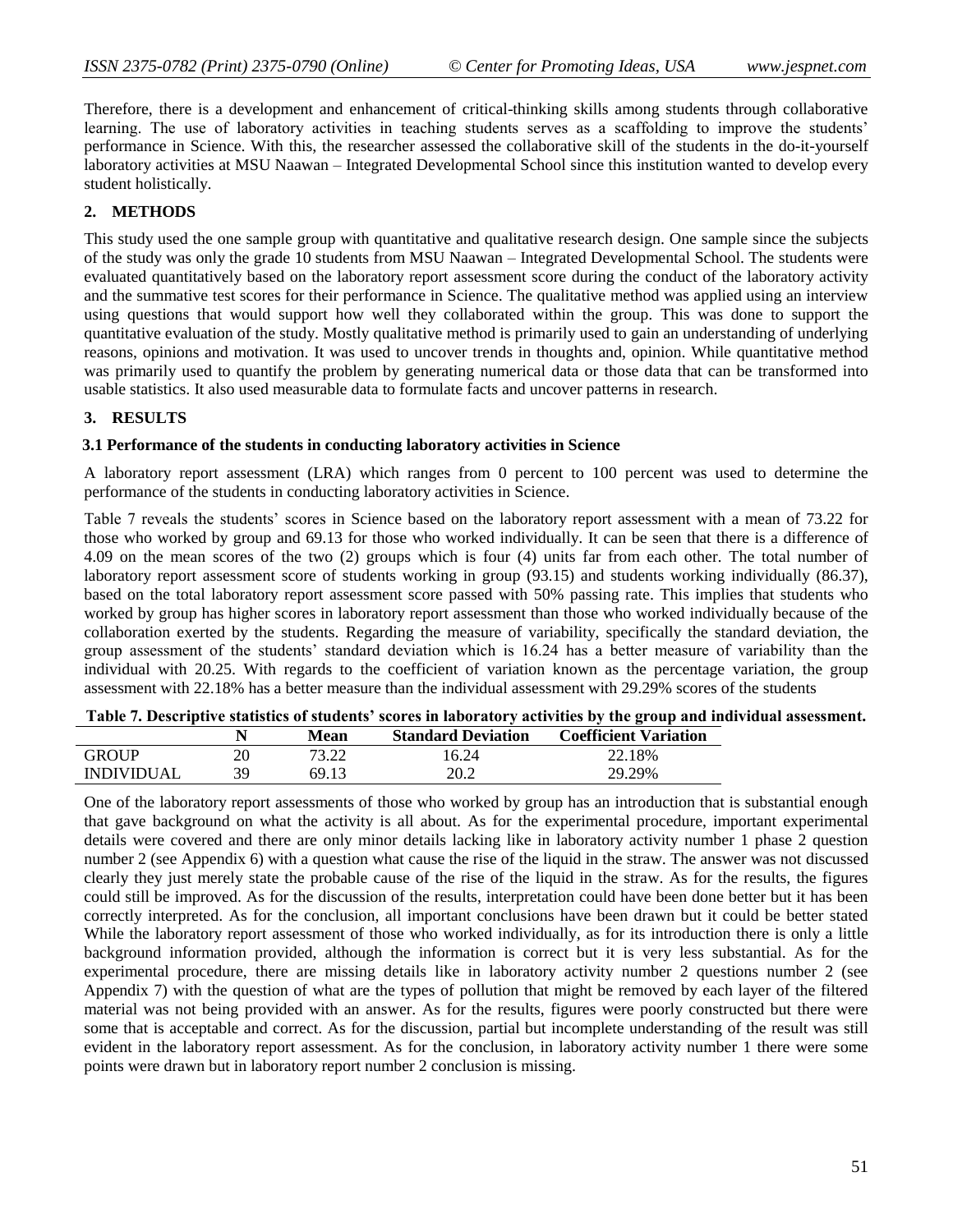Therefore, there is a development and enhancement of critical-thinking skills among students through collaborative learning. The use of laboratory activities in teaching students serves as a scaffolding to improve the students' performance in Science. With this, the researcher assessed the collaborative skill of the students in the do-it-yourself laboratory activities at MSU Naawan – Integrated Developmental School since this institution wanted to develop every student holistically.

## **2. METHODS**

This study used the one sample group with quantitative and qualitative research design. One sample since the subjects of the study was only the grade 10 students from MSU Naawan – Integrated Developmental School. The students were evaluated quantitatively based on the laboratory report assessment score during the conduct of the laboratory activity and the summative test scores for their performance in Science. The qualitative method was applied using an interview using questions that would support how well they collaborated within the group. This was done to support the quantitative evaluation of the study. Mostly qualitative method is primarily used to gain an understanding of underlying reasons, opinions and motivation. It was used to uncover trends in thoughts and, opinion. While quantitative method was primarily used to quantify the problem by generating numerical data or those data that can be transformed into usable statistics. It also used measurable data to formulate facts and uncover patterns in research.

## **3. RESULTS**

### **3.1 Performance of the students in conducting laboratory activities in Science**

A laboratory report assessment (LRA) which ranges from 0 percent to 100 percent was used to determine the performance of the students in conducting laboratory activities in Science.

Table 7 reveals the students' scores in Science based on the laboratory report assessment with a mean of 73.22 for those who worked by group and 69.13 for those who worked individually. It can be seen that there is a difference of 4.09 on the mean scores of the two (2) groups which is four (4) units far from each other. The total number of laboratory report assessment score of students working in group (93.15) and students working individually (86.37), based on the total laboratory report assessment score passed with 50% passing rate. This implies that students who worked by group has higher scores in laboratory report assessment than those who worked individually because of the collaboration exerted by the students. Regarding the measure of variability, specifically the standard deviation, the group assessment of the students' standard deviation which is 16.24 has a better measure of variability than the individual with 20.25. With regards to the coefficient of variation known as the percentage variation, the group assessment with 22.18% has a better measure than the individual assessment with 29.29% scores of the students

| Table 7. Descriptive statistics of students' scores in laboratory activities by the group and individual assessment. |  |  |
|----------------------------------------------------------------------------------------------------------------------|--|--|
|                                                                                                                      |  |  |

|                   |    | <b>Mean</b> | <b>Standard Deviation</b> | <b>Coefficient Variation</b> |
|-------------------|----|-------------|---------------------------|------------------------------|
| <b>GROUP</b>      | 20 |             | 6.24                      | 22.18%                       |
| <b>INDIVIDUAL</b> | 39 | 69.13       | 20.2                      | 29.29%                       |

One of the laboratory report assessments of those who worked by group has an introduction that is substantial enough that gave background on what the activity is all about. As for the experimental procedure, important experimental details were covered and there are only minor details lacking like in laboratory activity number 1 phase 2 question number 2 (see Appendix 6) with a question what cause the rise of the liquid in the straw. The answer was not discussed clearly they just merely state the probable cause of the rise of the liquid in the straw. As for the results, the figures could still be improved. As for the discussion of the results, interpretation could have been done better but it has been correctly interpreted. As for the conclusion, all important conclusions have been drawn but it could be better stated While the laboratory report assessment of those who worked individually, as for its introduction there is only a little background information provided, although the information is correct but it is very less substantial. As for the experimental procedure, there are missing details like in laboratory activity number 2 questions number 2 (see Appendix 7) with the question of what are the types of pollution that might be removed by each layer of the filtered material was not being provided with an answer. As for the results, figures were poorly constructed but there were some that is acceptable and correct. As for the discussion, partial but incomplete understanding of the result was still evident in the laboratory report assessment. As for the conclusion, in laboratory activity number 1 there were some points were drawn but in laboratory report number 2 conclusion is missing.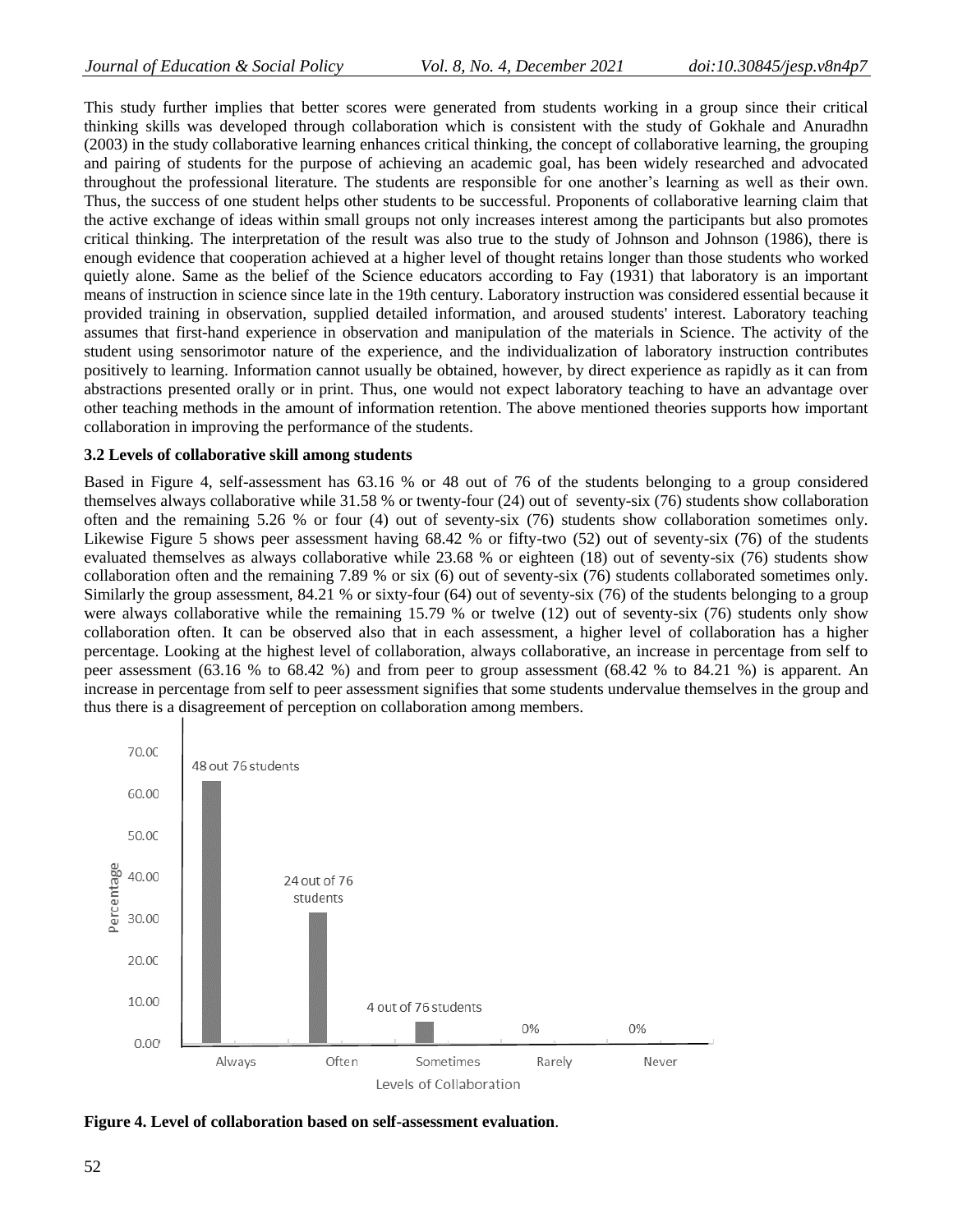This study further implies that better scores were generated from students working in a group since their critical thinking skills was developed through collaboration which is consistent with the study of Gokhale and Anuradhn (2003) in the study collaborative learning enhances critical thinking, the concept of collaborative learning, the grouping and pairing of students for the purpose of achieving an academic goal, has been widely researched and advocated throughout the professional literature. The students are responsible for one another's learning as well as their own. Thus, the success of one student helps other students to be successful. Proponents of collaborative learning claim that the active exchange of ideas within small groups not only increases interest among the participants but also promotes critical thinking. The interpretation of the result was also true to the study of Johnson and Johnson (1986), there is enough evidence that cooperation achieved at a higher level of thought retains longer than those students who worked quietly alone. Same as the belief of the Science educators according to Fay (1931) that laboratory is an important means of instruction in science since late in the 19th century. Laboratory instruction was considered essential because it provided training in observation, supplied detailed information, and aroused students' interest. Laboratory teaching assumes that first-hand experience in observation and manipulation of the materials in Science. The activity of the student using sensorimotor nature of the experience, and the individualization of laboratory instruction contributes positively to learning. Information cannot usually be obtained, however, by direct experience as rapidly as it can from abstractions presented orally or in print. Thus, one would not expect laboratory teaching to have an advantage over other teaching methods in the amount of information retention. The above mentioned theories supports how important collaboration in improving the performance of the students.

#### **3.2 Levels of collaborative skill among students**

Based in Figure 4, self-assessment has 63.16 % or 48 out of 76 of the students belonging to a group considered themselves always collaborative while 31.58 % or twenty-four (24) out of seventy-six (76) students show collaboration often and the remaining 5.26 % or four (4) out of seventy-six (76) students show collaboration sometimes only. Likewise Figure 5 shows peer assessment having 68.42 % or fifty-two (52) out of seventy-six (76) of the students evaluated themselves as always collaborative while 23.68 % or eighteen (18) out of seventy-six (76) students show collaboration often and the remaining 7.89 % or six (6) out of seventy-six (76) students collaborated sometimes only. Similarly the group assessment, 84.21 % or sixty-four (64) out of seventy-six (76) of the students belonging to a group were always collaborative while the remaining 15.79 % or twelve (12) out of seventy-six (76) students only show collaboration often. It can be observed also that in each assessment, a higher level of collaboration has a higher percentage. Looking at the highest level of collaboration, always collaborative, an increase in percentage from self to peer assessment (63.16 % to 68.42 %) and from peer to group assessment (68.42 % to 84.21 %) is apparent. An increase in percentage from self to peer assessment signifies that some students undervalue themselves in the group and thus there is a disagreement of perception on collaboration among members.



**Figure 4. Level of collaboration based on self-assessment evaluation**.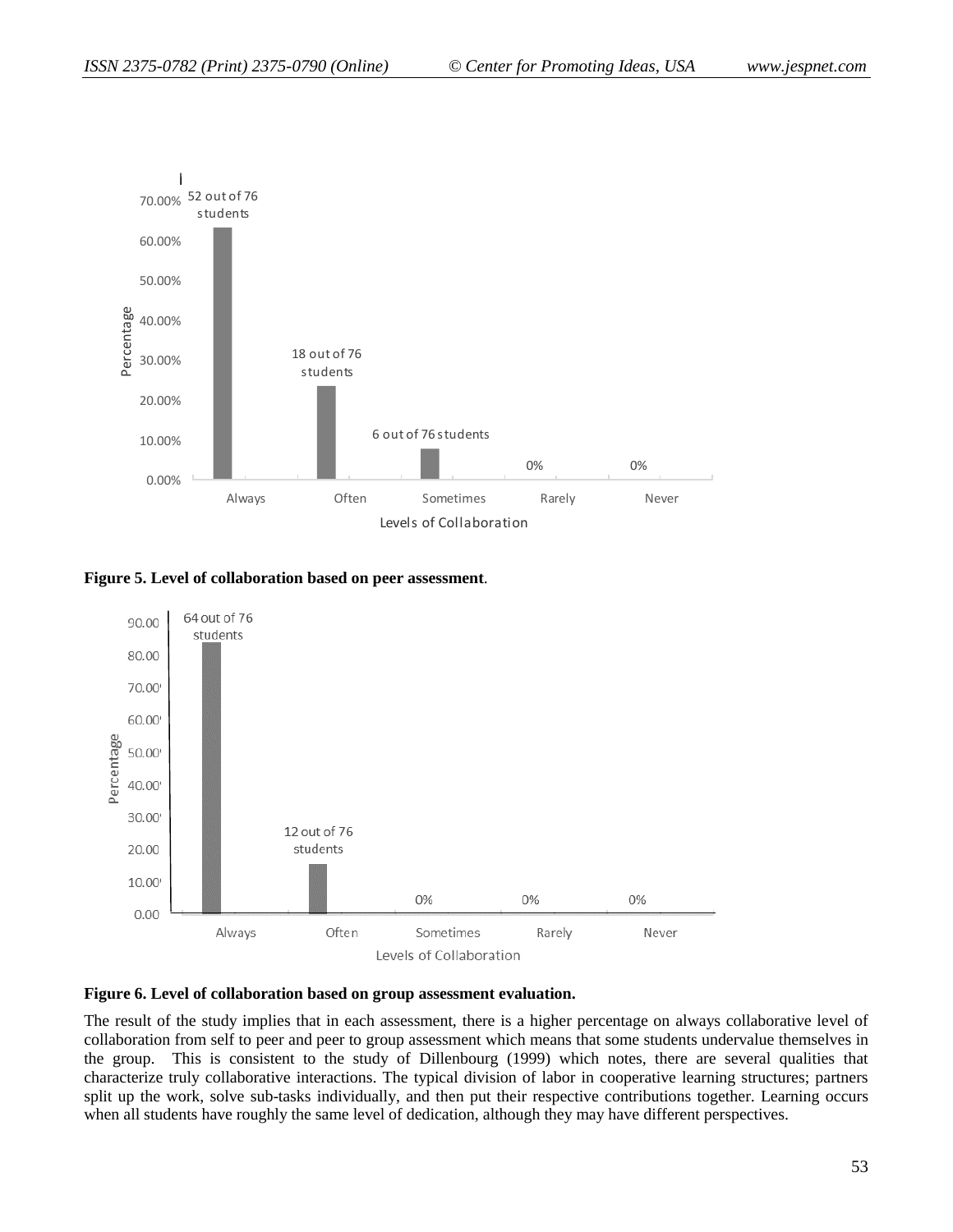

#### **Figure 5. Level of collaboration based on peer assessment**.



#### **Figure 6. Level of collaboration based on group assessment evaluation.**

The result of the study implies that in each assessment, there is a higher percentage on always collaborative level of collaboration from self to peer and peer to group assessment which means that some students undervalue themselves in the group. This is consistent to the study of Dillenbourg (1999) which notes, there are several qualities that characterize truly collaborative interactions. The typical division of labor in cooperative learning structures; partners split up the work, solve sub-tasks individually, and then put their respective contributions together. Learning occurs when all students have roughly the same level of dedication, although they may have different perspectives.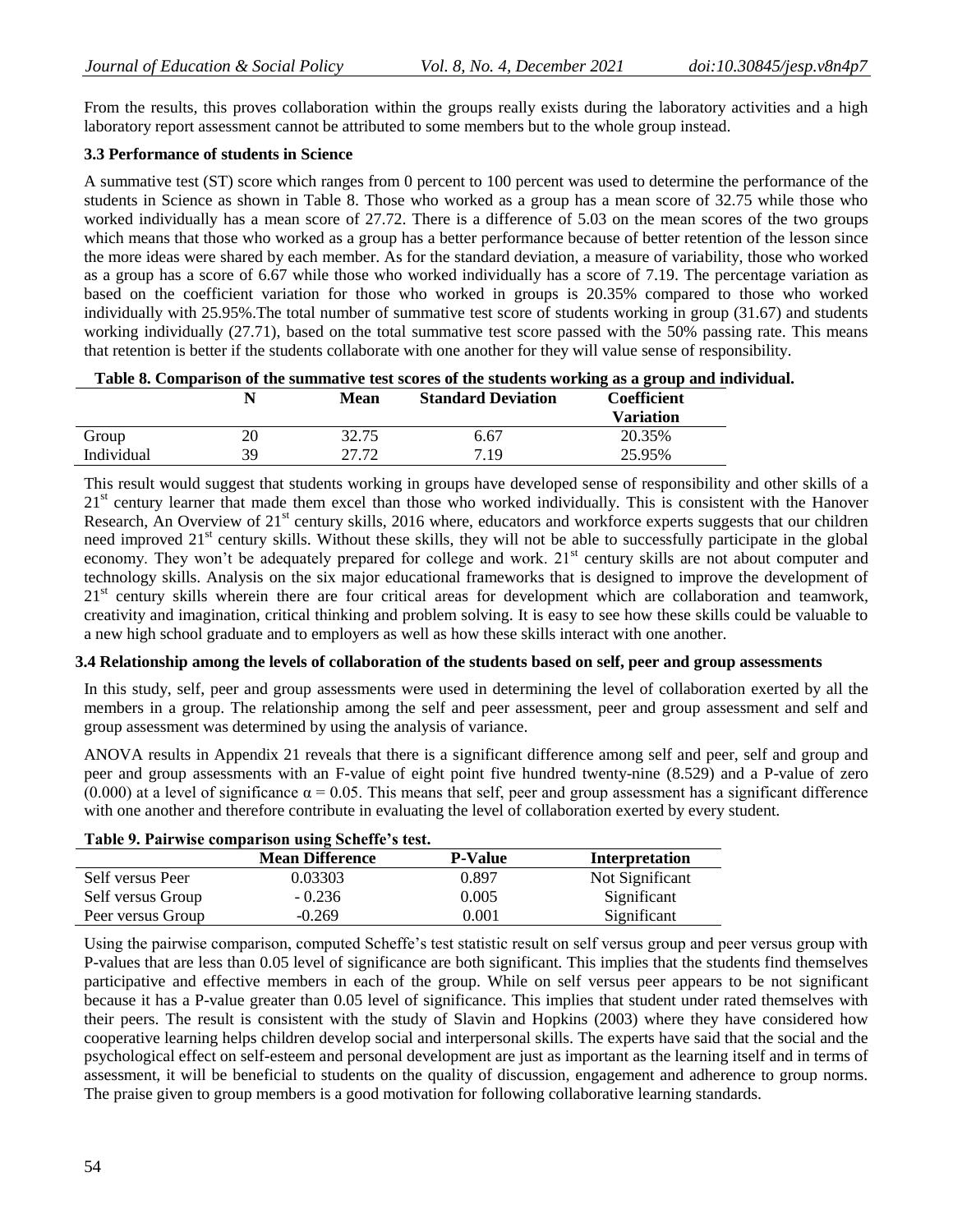From the results, this proves collaboration within the groups really exists during the laboratory activities and a high laboratory report assessment cannot be attributed to some members but to the whole group instead.

## **3.3 Performance of students in Science**

A summative test (ST) score which ranges from 0 percent to 100 percent was used to determine the performance of the students in Science as shown in Table 8. Those who worked as a group has a mean score of 32.75 while those who worked individually has a mean score of 27.72. There is a difference of 5.03 on the mean scores of the two groups which means that those who worked as a group has a better performance because of better retention of the lesson since the more ideas were shared by each member. As for the standard deviation, a measure of variability, those who worked as a group has a score of 6.67 while those who worked individually has a score of 7.19. The percentage variation as based on the coefficient variation for those who worked in groups is 20.35% compared to those who worked individually with 25.95%.The total number of summative test score of students working in group (31.67) and students working individually (27.71), based on the total summative test score passed with the 50% passing rate. This means that retention is better if the students collaborate with one another for they will value sense of responsibility.

**Table 8. Comparison of the summative test scores of the students working as a group and individual.**

|            |    | <b>Mean</b> | <b>Standard Deviation</b> | Coefficient<br><b>Variation</b> |
|------------|----|-------------|---------------------------|---------------------------------|
| Group      |    | 32.75       | 6.67                      | 20.35%                          |
| Individual | 39 | 27.72       | 7.19                      | 25.95%                          |

This result would suggest that students working in groups have developed sense of responsibility and other skills of a  $21<sup>st</sup>$  century learner that made them excel than those who worked individually. This is consistent with the Hanover Research, An Overview of  $21<sup>st</sup>$  century skills, 2016 where, educators and workforce experts suggests that our children need improved 21<sup>st</sup> century skills. Without these skills, they will not be able to successfully participate in the global economy. They won't be adequately prepared for college and work. 21<sup>st</sup> century skills are not about computer and technology skills. Analysis on the six major educational frameworks that is designed to improve the development of 21<sup>st</sup> century skills wherein there are four critical areas for development which are collaboration and teamwork, creativity and imagination, critical thinking and problem solving. It is easy to see how these skills could be valuable to a new high school graduate and to employers as well as how these skills interact with one another.

## **3.4 Relationship among the levels of collaboration of the students based on self, peer and group assessments**

In this study, self, peer and group assessments were used in determining the level of collaboration exerted by all the members in a group. The relationship among the self and peer assessment, peer and group assessment and self and group assessment was determined by using the analysis of variance.

ANOVA results in Appendix 21 reveals that there is a significant difference among self and peer, self and group and peer and group assessments with an F-value of eight point five hundred twenty-nine (8.529) and a P-value of zero (0.000) at a level of significance  $\alpha = 0.05$ . This means that self, peer and group assessment has a significant difference with one another and therefore contribute in evaluating the level of collaboration exerted by every student.

| Table 7. I all wise comparison using Scheme s test. |                |                 |  |  |  |
|-----------------------------------------------------|----------------|-----------------|--|--|--|
| <b>Mean Difference</b>                              | <b>P-Value</b> | Interpretation  |  |  |  |
| 0.03303                                             | 0.897          | Not Significant |  |  |  |
| $-0.236$                                            | 0.005          | Significant     |  |  |  |
| $-0.269$                                            | 0.001          | Significant     |  |  |  |
|                                                     |                |                 |  |  |  |

# **Table 9. Pairwise comparison using Scheffe's test.**

Using the pairwise comparison, computed Scheffe's test statistic result on self versus group and peer versus group with P-values that are less than 0.05 level of significance are both significant. This implies that the students find themselves participative and effective members in each of the group. While on self versus peer appears to be not significant because it has a P-value greater than 0.05 level of significance. This implies that student under rated themselves with their peers. The result is consistent with the study of Slavin and Hopkins (2003) where they have considered how cooperative learning helps children develop social and interpersonal skills. The experts have said that the social and the psychological effect on self-esteem and personal development are just as important as the learning itself and in terms of assessment, it will be beneficial to students on the quality of discussion, engagement and adherence to group norms. The praise given to group members is a good motivation for following collaborative learning standards.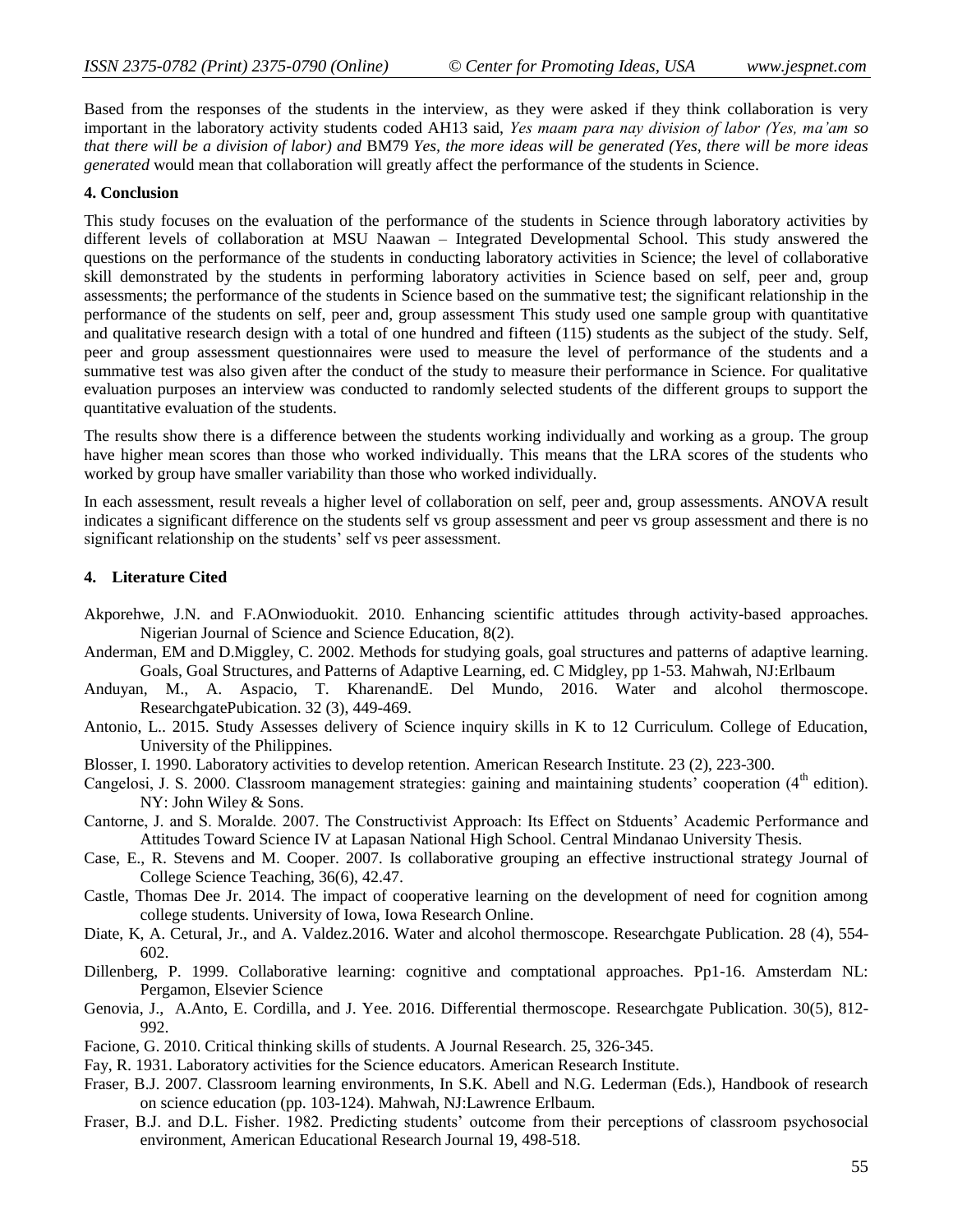Based from the responses of the students in the interview, as they were asked if they think collaboration is very important in the laboratory activity students coded AH13 said, *Yes maam para nay division of labor (Yes, ma'am so that there will be a division of labor) and* BM79 *Yes, the more ideas will be generated (Yes, there will be more ideas generated* would mean that collaboration will greatly affect the performance of the students in Science.

#### **4. Conclusion**

This study focuses on the evaluation of the performance of the students in Science through laboratory activities by different levels of collaboration at MSU Naawan – Integrated Developmental School. This study answered the questions on the performance of the students in conducting laboratory activities in Science; the level of collaborative skill demonstrated by the students in performing laboratory activities in Science based on self, peer and, group assessments; the performance of the students in Science based on the summative test; the significant relationship in the performance of the students on self, peer and, group assessment This study used one sample group with quantitative and qualitative research design with a total of one hundred and fifteen (115) students as the subject of the study. Self, peer and group assessment questionnaires were used to measure the level of performance of the students and a summative test was also given after the conduct of the study to measure their performance in Science. For qualitative evaluation purposes an interview was conducted to randomly selected students of the different groups to support the quantitative evaluation of the students.

The results show there is a difference between the students working individually and working as a group. The group have higher mean scores than those who worked individually. This means that the LRA scores of the students who worked by group have smaller variability than those who worked individually.

In each assessment, result reveals a higher level of collaboration on self, peer and, group assessments. ANOVA result indicates a significant difference on the students self vs group assessment and peer vs group assessment and there is no significant relationship on the students' self vs peer assessment.

### **4. Literature Cited**

- Akporehwe, J.N. and F.AOnwioduokit. 2010. Enhancing scientific attitudes through activity-based approaches. Nigerian Journal of Science and Science Education, 8(2).
- Anderman, EM and D.Miggley, C. 2002. Methods for studying goals, goal structures and patterns of adaptive learning. Goals, Goal Structures, and Patterns of Adaptive Learning, ed. C Midgley, pp 1-53. Mahwah, NJ:Erlbaum
- Anduyan, M., A. Aspacio, T. KharenandE. Del Mundo, 2016. Water and alcohol thermoscope. ResearchgatePubication. 32 (3), 449-469.
- Antonio, L.. 2015. Study Assesses delivery of Science inquiry skills in K to 12 Curriculum. College of Education, University of the Philippines.
- Blosser, I. 1990. Laboratory activities to develop retention. American Research Institute. 23 (2), 223-300.
- Cangelosi, J. S. 2000. Classroom management strategies: gaining and maintaining students' cooperation  $(4<sup>th</sup>$  edition). NY: John Wiley & Sons.
- Cantorne, J. and S. Moralde. 2007. The Constructivist Approach: Its Effect on Stduents' Academic Performance and Attitudes Toward Science IV at Lapasan National High School. Central Mindanao University Thesis.
- Case, E., R. Stevens and M. Cooper. 2007. Is collaborative grouping an effective instructional strategy Journal of College Science Teaching, 36(6), 42.47.
- Castle, Thomas Dee Jr. 2014. The impact of cooperative learning on the development of need for cognition among college students. University of Iowa, Iowa Research Online.
- Diate, K, A. Cetural, Jr., and A. Valdez.2016. Water and alcohol thermoscope. Researchgate Publication. 28 (4), 554- 602.
- Dillenberg, P. 1999. Collaborative learning: cognitive and comptational approaches. Pp1-16. Amsterdam NL: Pergamon, Elsevier Science
- Genovia, J., A.Anto, E. Cordilla, and J. Yee. 2016. Differential thermoscope. Researchgate Publication. 30(5), 812- 992.
- Facione, G. 2010. Critical thinking skills of students. A Journal Research. 25, 326-345.
- Fay, R. 1931. Laboratory activities for the Science educators. American Research Institute.
- Fraser, B.J. 2007. Classroom learning environments, In S.K. Abell and N.G. Lederman (Eds.), Handbook of research on science education (pp. 103-124). Mahwah, NJ:Lawrence Erlbaum.
- Fraser, B.J. and D.L. Fisher. 1982. Predicting students' outcome from their perceptions of classroom psychosocial environment, American Educational Research Journal 19, 498-518.